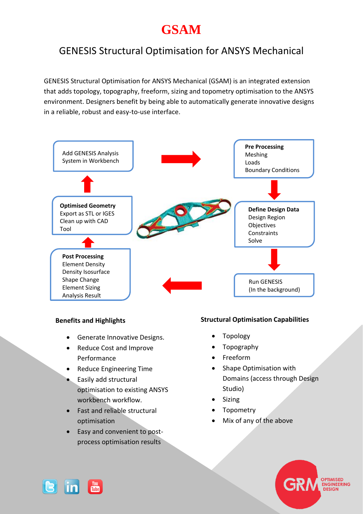# **GSAM**

# GENESIS Structural Optimisation for ANSYS Mechanical

GENESIS Structural Optimisation for ANSYS Mechanical (GSAM) is an integrated extension that adds topology, topography, freeform, sizing and topometry optimisation to the ANSYS environment. Designers benefit by being able to automatically generate innovative designs in a reliable, robust and easy-to-use interface.



#### **Benefits and Highlights**

- **•** Generate Innovative Designs.
- Reduce Cost and Improve Performance
- Reduce Engineering Time
- Easily add structural optimisation to existing ANSYS workbench workflow.
- Fast and reliable structural optimisation
- Easy and convenient to postprocess optimisation results

# **Structural Optimisation Capabilities**

- Topology
- Topography
- Freeform
- Shape Optimisation with Domains (access through Design Studio)
- Sizing
- Topometry
- Mix of any of the above



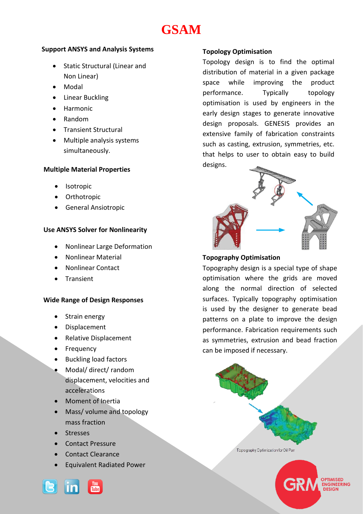# **GSAM**

# **Support ANSYS and Analysis Systems**

- Static Structural (Linear and Non Linear)
- Modal
- Linear Buckling
- Harmonic
- Random
- **•** Transient Structural
- Multiple analysis systems simultaneously.

### **Multiple Material Properties**

- Isotropic
- **•** Orthotropic
- General Ansiotropic

# **Use ANSYS Solver for Nonlinearity**

- Nonlinear Large Deformation
- Nonlinear Material
- Nonlinear Contact
- Transient

### **Wide Range of Design Responses**

- Strain energy
- Displacement
- Relative Displacement
- Frequency
- Buckling load factors
- Modal/ direct/ random displacement, velocities and accelerations
- Moment of Inertia
- Mass/ volume and topology mass fraction
- Stresses
- Contact Pressure
- Contact Clearance
- Equivalent Radiated Power



# **Topology Optimisation**

Topology design is to find the optimal distribution of material in a given package space while improving the product performance. Typically topology optimisation is used by engineers in the early design stages to generate innovative design proposals. GENESIS provides an extensive family of fabrication constraints such as casting, extrusion, symmetries, etc. that helps to user to obtain easy to build designs.



# **Topography Optimisation**

Topography design is a special type of shape optimisation where the grids are moved along the normal direction of selected surfaces. Typically topography optimisation is used by the designer to generate bead patterns on a plate to improve the design performance. Fabrication requirements such as symmetries, extrusion and bead fraction can be imposed if necessary.



**TIMISED ENGINEERING** DESIGN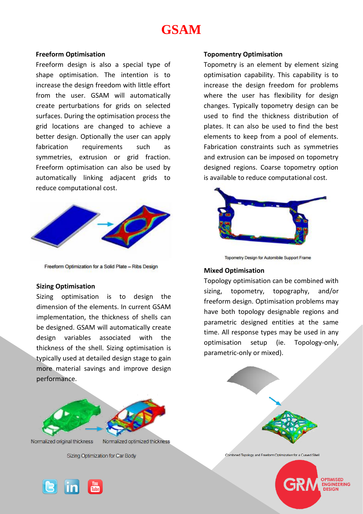# **GSAM**

#### **Freeform Optimisation**

Freeform design is also a special type of shape optimisation. The intention is to increase the design freedom with little effort from the user. GSAM will automatically create perturbations for grids on selected surfaces. During the optimisation process the grid locations are changed to achieve a better design. Optionally the user can apply fabrication requirements such as symmetries, extrusion or grid fraction. Freeform optimisation can also be used by automatically linking adjacent grids to reduce computational cost.



Freeform Optimization for a Solid Plate - Ribs Design

#### **Sizing Optimisation**

Sizing optimisation is to design the dimension of the elements. In current GSAM implementation, the thickness of shells can be designed. GSAM will automatically create design variables associated with the thickness of the shell. Sizing optimisation is typically used at detailed design stage to gain more material savings and improve design performance.



Normalized original thickness

Normalized optimized thickness

Sizing Optimization for Car Body



#### **Topomentry Optimisation**

Topometry is an element by element sizing optimisation capability. This capability is to increase the design freedom for problems where the user has flexibility for design changes. Typically topometry design can be used to find the thickness distribution of plates. It can also be used to find the best elements to keep from a pool of elements. Fabrication constraints such as symmetries and extrusion can be imposed on topometry designed regions. Coarse topometry option is available to reduce computational cost.



Topometry Design for Automibile Support Frame

#### **Mixed Optimisation**

Topology optimisation can be combined with sizing, topometry, topography, and/or freeform design. Optimisation problems may have both topology designable regions and parametric designed entities at the same time. All response types may be used in any optimisation setup (ie. Topology-only, parametric-only or mixed).



Combined Topology and Freeform Optimization for a Curved Shell